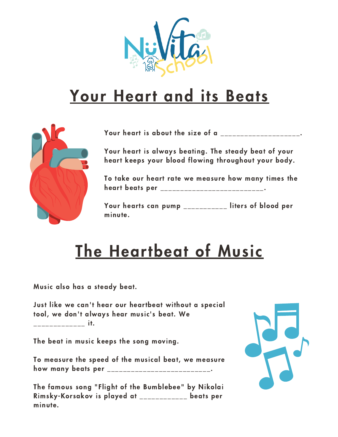

## Your Heart and its Beats



Your heart is about the size of a \_\_\_\_\_\_\_\_\_\_\_\_\_\_\_\_\_\_\_.

Your heart is always beating. The steady beat of your heart keeps your blood flowing throughout your body.

To take our heart rate we measure how many times the heart beats per \_\_\_\_\_\_\_\_\_\_\_\_\_\_\_\_\_\_\_\_\_\_\_\_\_.

Your hearts can pump \_\_\_\_\_\_\_\_\_\_\_ liters of blood per minute.

## The Heartbeat of Music

Music also has a steady beat.

Just like we can't hear our heartbeat without a special tool, we don't always hear music's beat. We \_\_\_\_\_\_\_\_\_\_\_\_\_ it.

The beat in music keeps the song moving.

To measure the speed of the musical beat, we measure how many beats per \_\_\_\_\_\_\_\_\_\_\_\_\_\_\_\_\_\_\_\_\_\_\_\_\_.

The famous song "Flight of the Bumblebee" by Nikolai Rimsky-Korsakov is played at \_\_\_\_\_\_\_\_\_\_\_\_ beats per minute.